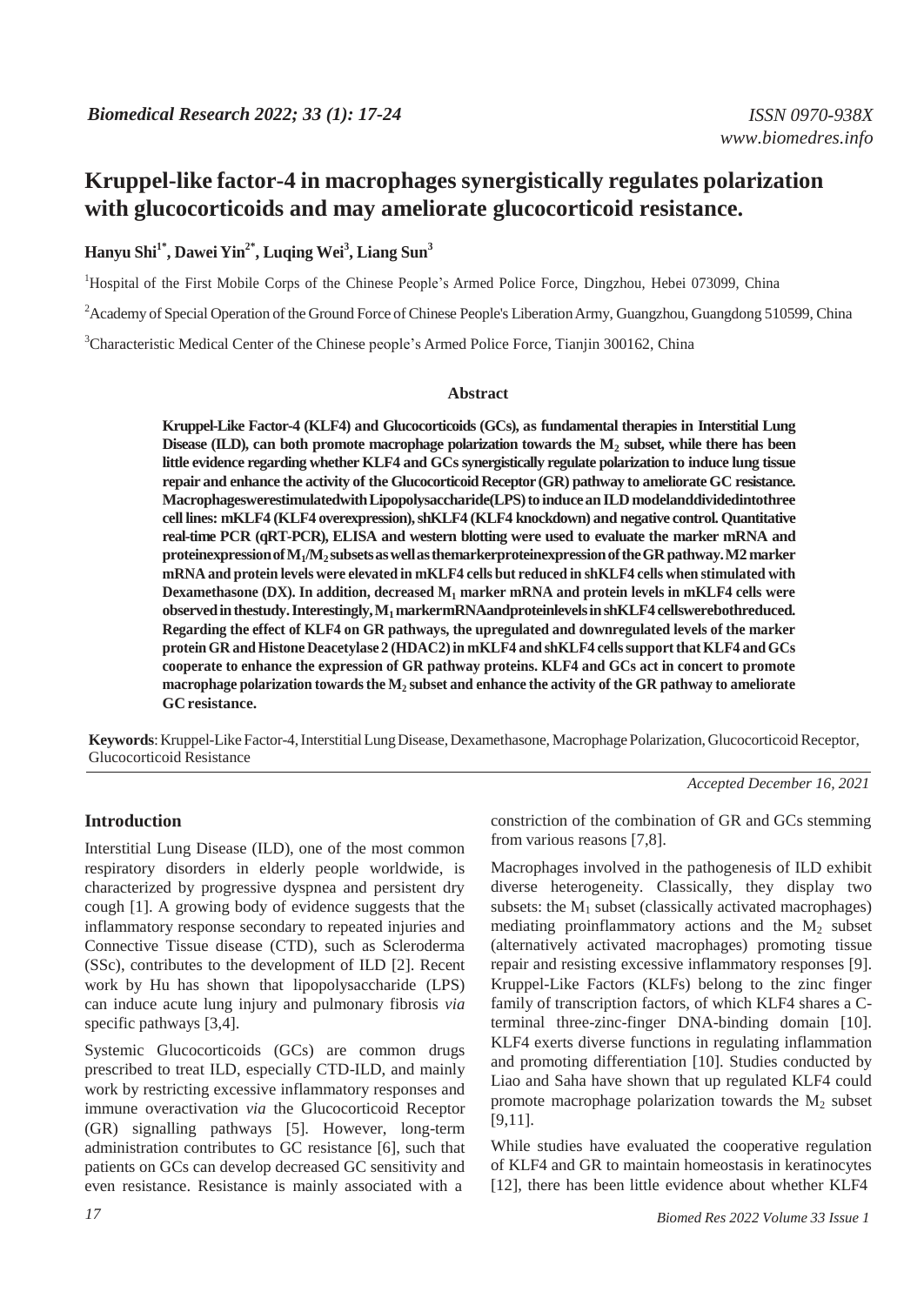## **Hanyu Shi1\* , Dawei Yin2\* , Luqing Wei<sup>3</sup> , Liang Sun<sup>3</sup>**

<sup>1</sup>Hospital of the First Mobile Corps of the Chinese People's Armed Police Force, Dingzhou, Hebei 073099, China

<sup>2</sup> Academy of Special Operation of the Ground Force of Chinese People's Liberation Army, Guangzhou, Guangdong 510599, China

<sup>3</sup>Characteristic Medical Center of the Chinese people's Armed Police Force, Tianjin 300162, China

#### **Abstract**

**Kruppel-Like Factor-4 (KLF4) and Glucocorticoids (GCs), as fundamental therapies in Interstitial Lung Disease (ILD), can both promote macrophage polarization towards the M<sup>2</sup> subset, while there has been little evidence regarding whether KLF4 and GCssynergistically regulate polarization to induce lung tissue repair and enhance the activity of the GlucocorticoidReceptor (GR) pathway to ameliorate GC resistance. MacrophageswerestimulatedwithLipopolysaccharide(LPS)to induceanILDmodelanddividedintothree cell lines: mKLF4 (KLF4 overexpression),shKLF4 (KLF4 knockdown) and negative control. Quantitative real-time PCR (qRT-PCR), ELISA and western blotting were used to evaluate the marker mRNA and proteinexpressionofM1/M<sup>2</sup> subsetsaswellasthemarkerproteinexpressionoftheGRpathway.M2marker mRNA and protein levels were elevated in mKLF4 cells but reduced in shKLF4 cells when stimulated with Dexamethasone (DX). In addition, decreased M<sup>1</sup> marker mRNA and protein levels in mKLF4 cells were observedinthestudy.Interestingly,M1markermRNAandproteinlevelsinshKLF4 cellswerebothreduced. Regarding the effect of KLF4 on GR pathways, the upregulated and downregulated levels of the marker proteinGR and Histone Deacetylase 2 (HDAC2)in mKLF4 and shKLF4 cellssupportthatKLF4 andGCs cooperate to enhance the expression of GR pathway proteins. KLF4 and GCs act in concert to promote macrophage polarization towardsthe M<sup>2</sup> subset and enhance the activity of the GR pathway to ameliorate GC resistance.**

**Keywords**: Kruppel-Like Factor-4, Interstitial Lung Disease, Dexamethasone, Macrophage Polarization, Glucocorticoid Receptor, Glucocorticoid Resistance

*Accepted December 16, 2021*

#### **Introduction**

Interstitial Lung Disease (ILD), one of the most common respiratory disorders in elderly people worldwide, is characterized by progressive dyspnea and persistent dry cough [1]. A growing body of evidence suggests that the inflammatory response secondary to repeated injuries and Connective Tissue disease (CTD), such as Scleroderma (SSc), contributes to the development of ILD [2]. Recent work by Hu has shown that lipopolysaccharide (LPS) can induce acute lung injury and pulmonary fibrosis *via* specific pathways [3,4].

Systemic Glucocorticoids (GCs) are common drugs prescribed to treat ILD, especially CTD-ILD, and mainly work by restricting excessive inflammatory responses and immune overactivation *via* the Glucocorticoid Receptor (GR) signalling pathways [5]. However, long-term administration contributes to GC resistance [6], such that patients on GCs can develop decreased GC sensitivity and even resistance. Resistance is mainly associated with a

constriction of the combination of GR and GCs stemming from various reasons [7,8].

Macrophages involved in the pathogenesis of ILD exhibit diverse heterogeneity. Classically, they display two subsets: the  $M_1$  subset (classically activated macrophages) mediating proinflammatory actions and the  $M<sub>2</sub>$  subset (alternatively activated macrophages) promoting tissue repair and resisting excessive inflammatory responses [9]. Kruppel-Like Factors (KLFs) belong to the zinc finger family of transcription factors, of which KLF4 shares a Cterminal three-zinc-finger DNA-binding domain [10]. KLF4 exerts diverse functions in regulating inflammation and promoting differentiation [10]. Studies conducted by Liao and Saha have shown that up regulated KLF4 could promote macrophage polarization towards the  $M_2$  subset [9,11].

While studies have evaluated the cooperative regulation of KLF4 and GR to maintain homeostasis in keratinocytes [12], there has been little evidence about whether KLF4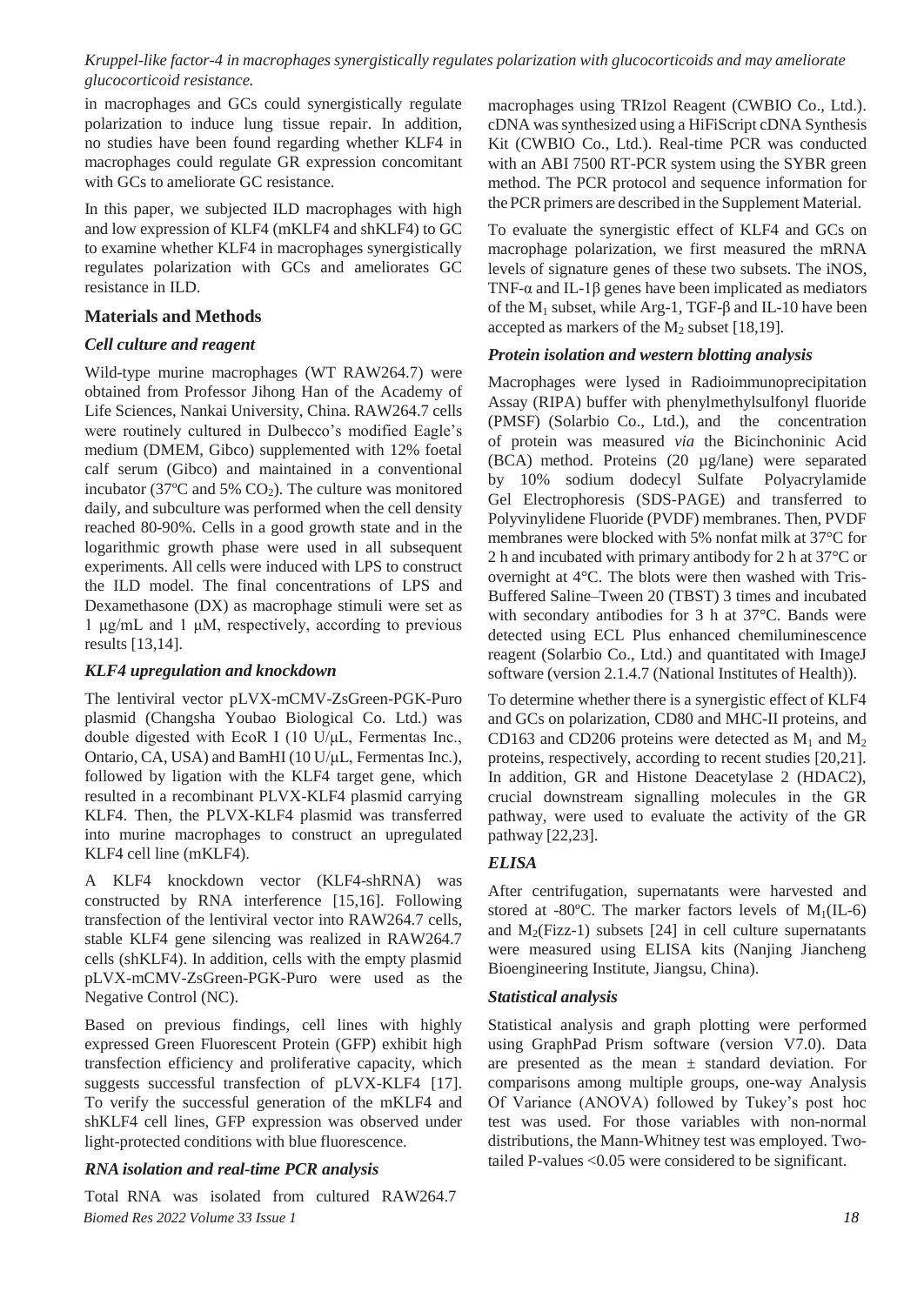in macrophages and GCs could synergistically regulate polarization to induce lung tissue repair. In addition, no studies have been found regarding whether KLF4 in macrophages could regulate GR expression concomitant with GCs to ameliorate GC resistance.

In this paper, we subjected ILD macrophages with high and low expression of KLF4 (mKLF4 and shKLF4) to GC to examine whether KLF4 in macrophages synergistically regulates polarization with GCs and ameliorates GC resistance in ILD.

### **Materials and Methods**

### *Cell culture and reagent*

Wild-type murine macrophages (WT RAW264.7) were obtained from Professor Jihong Han of the Academy of Life Sciences, Nankai University, China. RAW264.7 cells were routinely cultured in Dulbecco's modified Eagle's medium (DMEM, Gibco) supplemented with 12% foetal calf serum (Gibco) and maintained in a conventional incubator (37 $\degree$ C and 5% CO<sub>2</sub>). The culture was monitored daily, and subculture was performed when the cell density reached 80-90%. Cells in a good growth state and in the logarithmic growth phase were used in all subsequent experiments. All cells were induced with LPS to construct the ILD model. The final concentrations of LPS and Dexamethasone (DX) as macrophage stimuli were set as 1 μg/mL and 1 μM, respectively, according to previous results [13,14].

## *KLF4 upregulation and knockdown*

The lentiviral vector pLVX-mCMV-ZsGreen-PGK-Puro plasmid (Changsha Youbao Biological Co. Ltd.) was double digested with EcoR I (10 U/μL, Fermentas Inc., Ontario, CA, USA) and BamHI (10 U/μL, Fermentas Inc.), followed by ligation with the KLF4 target gene, which resulted in a recombinant PLVX-KLF4 plasmid carrying KLF4. Then, the PLVX-KLF4 plasmid was transferred into murine macrophages to construct an upregulated KLF4 cell line (mKLF4).

A KLF4 knockdown vector (KLF4-shRNA) was constructed by RNA interference [15,16]. Following transfection of the lentiviral vector into RAW264.7 cells, stable KLF4 gene silencing was realized in RAW264.7 cells (shKLF4). In addition, cells with the empty plasmid pLVX-mCMV-ZsGreen-PGK-Puro were used as the Negative Control (NC).

Based on previous findings, cell lines with highly expressed Green Fluorescent Protein (GFP) exhibit high transfection efficiency and proliferative capacity, which suggests successful transfection of pLVX-KLF4 [17]. To verify the successful generation of the mKLF4 and shKLF4 cell lines, GFP expression was observed under light-protected conditions with blue fluorescence.

## *RNA isolation and real-time PCR analysis*

*Biomed Res 2022 Volume 33 Issue 1 18* Total RNA was isolated from cultured RAW264.7

macrophages using TRIzol Reagent (CWBIO Co., Ltd.). cDNA wassynthesized using a HiFiScript cDNA Synthesis Kit (CWBIO Co., Ltd.). Real-time PCR was conducted with an ABI 7500 RT-PCR system using the SYBR green method. The PCR protocol and sequence information for the PCR primers are described in the Supplement Material.

To evaluate the synergistic effect of KLF4 and GCs on macrophage polarization, we first measured the mRNA levels of signature genes of these two subsets. The iNOS, TNF- $\alpha$  and IL-1 $\beta$  genes have been implicated as mediators of the  $M_1$  subset, while Arg-1, TGF- $\beta$  and IL-10 have been accepted as markers of the  $M_2$  subset [18,19].

## *Protein isolation and western blotting analysis*

Macrophages were lysed in Radioimmunoprecipitation Assay (RIPA) buffer with phenylmethylsulfonyl fluoride (PMSF) (Solarbio Co., Ltd.), and the concentration of protein was measured *via* the Bicinchoninic Acid (BCA) method. Proteins (20 µg/lane) were separated by 10% sodium dodecyl Sulfate Polyacrylamide Gel Electrophoresis (SDS-PAGE) and transferred to Polyvinylidene Fluoride (PVDF) membranes. Then, PVDF membranes were blocked with 5% nonfat milk at 37°C for 2 h and incubated with primary antibody for 2 h at 37°C or overnight at 4°C. The blots were then washed with Tris-Buffered Saline–Tween 20 (TBST) 3 times and incubated with secondary antibodies for 3 h at 37°C. Bands were detected using ECL Plus enhanced chemiluminescence reagent (Solarbio Co., Ltd.) and quantitated with ImageJ software (version 2.1.4.7 (National Institutes of Health)).

To determine whether there is a synergistic effect of KLF4 and GCs on polarization, CD80 and MHC-II proteins, and CD163 and CD206 proteins were detected as  $M_1$  and  $M_2$ proteins, respectively, according to recent studies [20,21]. In addition, GR and Histone Deacetylase 2 (HDAC2), crucial downstream signalling molecules in the GR pathway, were used to evaluate the activity of the GR pathway [22,23].

## *ELISA*

After centrifugation, supernatants were harvested and stored at -80 $^{\circ}$ C. The marker factors levels of M<sub>1</sub>(IL-6) and  $M_2$ (Fizz-1) subsets [24] in cell culture supernatants were measured using ELISA kits (Nanjing Jiancheng Bioengineering Institute, Jiangsu, China).

## *Statistical analysis*

Statistical analysis and graph plotting were performed using GraphPad Prism software (version V7.0). Data are presented as the mean  $\pm$  standard deviation. For comparisons among multiple groups, one-way Analysis Of Variance (ANOVA) followed by Tukey's post hoc test was used. For those variables with non-normal distributions, the Mann-Whitney test was employed. Twotailed P-values <0.05 were considered to be significant.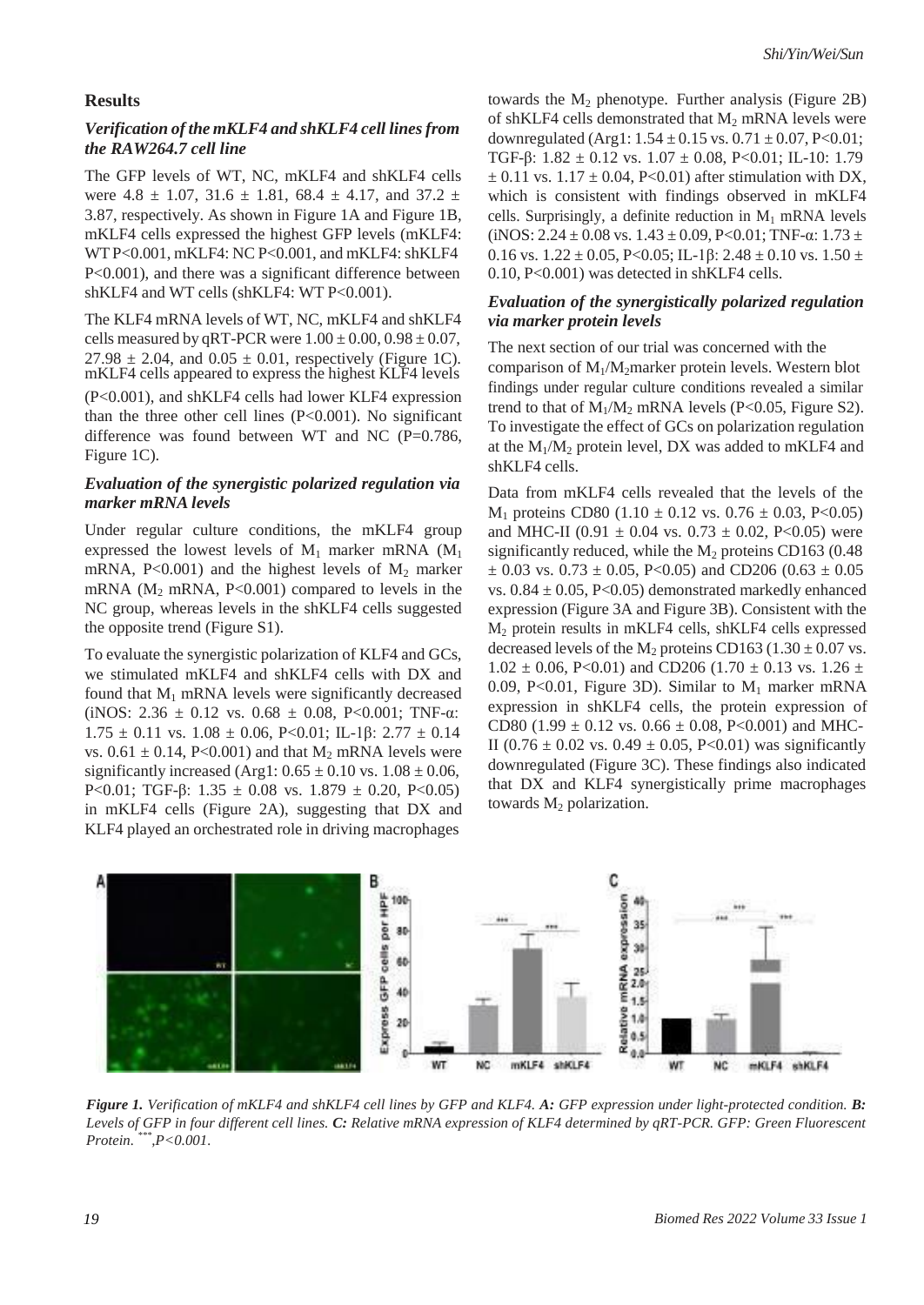#### **Results**

#### *Verification of the mKLF4 and shKLF4 cell linesfrom the RAW264.7 cell line*

The GFP levels of WT, NC, mKLF4 and shKLF4 cells were  $4.8 \pm 1.07$ ,  $31.6 \pm 1.81$ ,  $68.4 \pm 4.17$ , and  $37.2 \pm 1.07$ 3.87, respectively. As shown in Figure 1A and Figure 1B, mKLF4 cells expressed the highest GFP levels (mKLF4: WT P<0.001, mKLF4: NC P<0.001, and mKLF4: shKLF4 P<0.001), and there was a significant difference between shKLF4 and WT cells (shKLF4: WT P<0.001).

The KLF4 mRNA levels of WT, NC, mKLF4 and shKLF4 cells measured by qRT-PCR were  $1.00 \pm 0.00$ ,  $0.98 \pm 0.07$ ,  $27.98 \pm 2.04$ , and  $0.05 \pm 0.01$ , respectively (Figure 1C). mKLF4 cells appeared to express the highest KLF4 levels (P<0.001), and shKLF4 cells had lower KLF4 expression than the three other cell lines  $(P<0.001)$ . No significant difference was found between WT and NC ( $P=0.786$ , Figure 1C).

#### *Evaluation of the synergistic polarized regulation via marker mRNA levels*

Under regular culture conditions, the mKLF4 group expressed the lowest levels of  $M_1$  marker mRNA ( $M_1$ ) mRNA,  $P<0.001$  and the highest levels of  $M_2$  marker mRNA  $(M_2$  mRNA, P<0.001) compared to levels in the NC group, whereas levels in the shKLF4 cells suggested the opposite trend (Figure S1).

To evaluate the synergistic polarization of KLF4 and GCs, we stimulated mKLF4 and shKLF4 cells with DX and found that  $M_1$  mRNA levels were significantly decreased (iNOS:  $2.36 \pm 0.12$  vs.  $0.68 \pm 0.08$ , P<0.001; TNF- $\alpha$ :  $1.75 \pm 0.11$  vs.  $1.08 \pm 0.06$ , P<0.01; IL-1 $\beta$ :  $2.77 \pm 0.14$ vs.  $0.61 \pm 0.14$ , P<0.001) and that M<sub>2</sub> mRNA levels were significantly increased (Arg1:  $0.65 \pm 0.10$  vs.  $1.08 \pm 0.06$ , P<0.01; TGF-β: 1.35  $\pm$  0.08 vs. 1.879  $\pm$  0.20, P<0.05) in mKLF4 cells (Figure 2A), suggesting that DX and KLF4 played an orchestrated role in driving macrophages

towards the  $M<sub>2</sub>$  phenotype. Further analysis (Figure 2B) of shKLF4 cells demonstrated that  $M_2$  mRNA levels were downregulated (Arg1:  $1.54 \pm 0.15$  vs.  $0.71 \pm 0.07$ , P<0.01; TGF-β:  $1.82 \pm 0.12$  vs.  $1.07 \pm 0.08$ , P<0.01; IL-10: 1.79  $\pm$  0.11 vs. 1.17  $\pm$  0.04, P<0.01) after stimulation with DX, which is consistent with findings observed in mKLF4 cells. Surprisingly, a definite reduction in  $M_1$  mRNA levels (iNOS:  $2.24 \pm 0.08$  vs.  $1.43 \pm 0.09$ , P<0.01; TNF- $\alpha$ :  $1.73 \pm$ 0.16 vs.  $1.22 \pm 0.05$ , P<0.05; IL-1 $\beta$ :  $2.48 \pm 0.10$  vs.  $1.50 \pm 0.16$ 0.10, P<0.001) was detected in shKLF4 cells.

#### *Evaluation of the synergistically polarized regulation via marker protein levels*

The next section of our trial was concerned with the comparison of  $M_1/M_2$  marker protein levels. Western blot findings under regular culture conditions revealed a similar trend to that of  $M_1/M_2$  mRNA levels (P<0.05, Figure S2). To investigate the effect of GCs on polarization regulation at the  $M_1/M_2$  protein level, DX was added to mKLF4 and shKLF4 cells.

Data from mKLF4 cells revealed that the levels of the  $M_1$  proteins CD80 (1.10  $\pm$  0.12 vs. 0.76  $\pm$  0.03, P<0.05) and MHC-II (0.91  $\pm$  0.04 vs. 0.73  $\pm$  0.02, P<0.05) were significantly reduced, while the  $M<sub>2</sub>$  proteins CD163 (0.48)  $\pm$  0.03 vs. 0.73  $\pm$  0.05, P<0.05) and CD206 (0.63  $\pm$  0.05 vs.  $0.84 \pm 0.05$ , P<0.05) demonstrated markedly enhanced expression (Figure 3A and Figure 3B). Consistent with the M<sup>2</sup> protein results in mKLF4 cells, shKLF4 cells expressed decreased levels of the  $M_2$  proteins CD163 (1.30  $\pm$  0.07 vs.  $1.02 \pm 0.06$ , P<0.01) and CD206 (1.70  $\pm$  0.13 vs. 1.26  $\pm$ 0.09, P<0.01, Figure 3D). Similar to  $M_1$  marker mRNA expression in shKLF4 cells, the protein expression of CD80 (1.99  $\pm$  0.12 vs. 0.66  $\pm$  0.08, P<0.001) and MHC-II (0.76  $\pm$  0.02 vs. 0.49  $\pm$  0.05, P<0.01) was significantly downregulated (Figure 3C). These findings also indicated that DX and KLF4 synergistically prime macrophages towards  $M_2$  polarization.



*Figure 1. Verification of mKLF4 and shKLF4 cell lines by GFP and KLF4. A: GFP expression under light-protected condition. B: Levels of GFP in four different cell lines. C: Relative mRNA expression of KLF4 determined by qRT-PCR. GFP: Green Fluorescent Protein. \*\*\*,P<0.001.*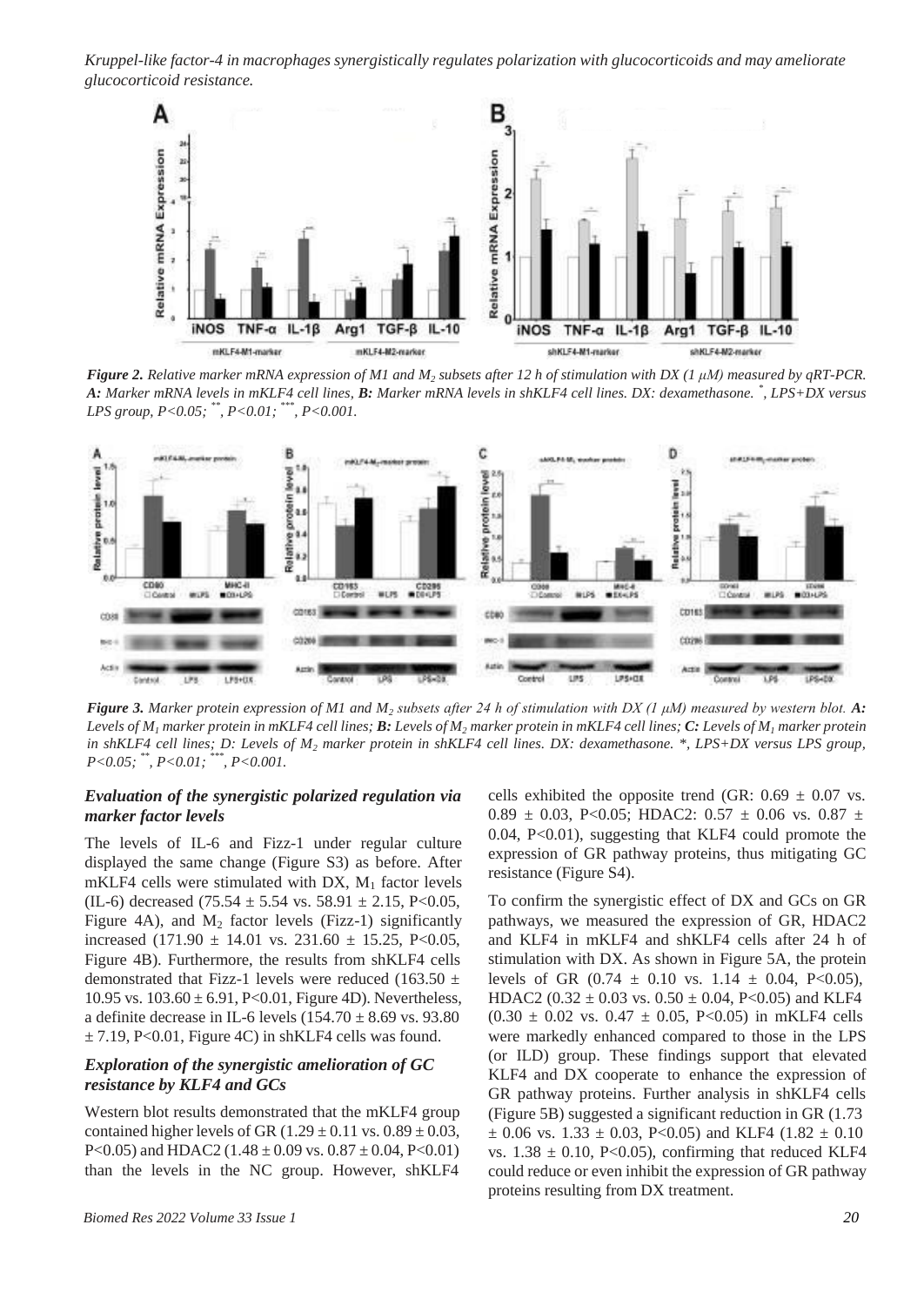

Figure 2. Relative marker mRNA expression of M1 and  $M_2$  subsets after 12 h of stimulation with DX (1  $\mu$ M) measured by qRT-PCR. *A: Marker mRNA levels in mKLF4 cell lines, B: Marker mRNA levels in shKLF4 cell lines. DX: dexamethasone. \* , LPS+DX versus LPS group, P<0.05; \*\* , P<0.01; \*\*\*, P<0.001.*



*Figure 3. Marker protein expression of M1 and M<sup>2</sup> subsets after 24 h of stimulation with DX (1 μM) measured by western blot. A:* Levels of  $M_1$  marker protein in mKLF4 cell lines; **B**: Levels of  $M_2$  marker protein in mKLF4 cell lines; C: Levels of  $M_1$  marker protein *in shKLF4 cell lines; D: Levels of M<sup>2</sup> marker protein in shKLF4 cell lines. DX: dexamethasone. \*, LPS+DX versus LPS group, P<0.05; \*\*, P<0.01; \*\*\*, P<0.001.*

#### *Evaluation of the synergistic polarized regulation via marker factor levels*

The levels of IL-6 and Fizz-1 under regular culture displayed the same change (Figure S3) as before. After mKLF4 cells were stimulated with DX,  $M_1$  factor levels (IL-6) decreased (75.54  $\pm$  5.54 vs. 58.91  $\pm$  2.15, P<0.05, Figure 4A), and  $M_2$  factor levels (Fizz-1) significantly increased (171.90  $\pm$  14.01 vs. 231.60  $\pm$  15.25, P<0.05, Figure 4B). Furthermore, the results from shKLF4 cells demonstrated that Fizz-1 levels were reduced (163.50  $\pm$ 10.95 vs.  $103.60 \pm 6.91$ , P<0.01, Figure 4D). Nevertheless, a definite decrease in IL-6 levels  $(154.70 \pm 8.69 \text{ vs. } 93.80)$  $\pm$  7.19, P<0.01, Figure 4C) in shKLF4 cells was found.

#### *Exploration of the synergistic amelioration of GC resistance by KLF4 and GCs*

Western blot results demonstrated that the mKLF4 group contained higher levels of GR  $(1.29 \pm 0.11 \text{ vs. } 0.89 \pm 0.03,$ P<0.05) and HDAC2 (1.48  $\pm$  0.09 vs. 0.87  $\pm$  0.04, P<0.01) than the levels in the NC group. However, shKLF4

cells exhibited the opposite trend (GR:  $0.69 \pm 0.07$  vs. 0.89  $\pm$  0.03, P<0.05; HDAC2: 0.57  $\pm$  0.06 vs. 0.87  $\pm$ 0.04, P<0.01), suggesting that KLF4 could promote the expression of GR pathway proteins, thus mitigating GC resistance (Figure S4).

To confirm the synergistic effect of DX and GCs on GR pathways, we measured the expression of GR, HDAC2 and KLF4 in mKLF4 and shKLF4 cells after 24 h of stimulation with DX. As shown in Figure 5A, the protein levels of GR  $(0.74 \pm 0.10 \text{ vs. } 1.14 \pm 0.04, \text{ P}<0.05)$ , HDAC2 (0.32  $\pm$  0.03 vs. 0.50  $\pm$  0.04, P<0.05) and KLF4  $(0.30 \pm 0.02 \text{ vs. } 0.47 \pm 0.05, \text{ P}<0.05)$  in mKLF4 cells were markedly enhanced compared to those in the LPS (or ILD) group. These findings support that elevated KLF4 and DX cooperate to enhance the expression of GR pathway proteins. Further analysis in shKLF4 cells (Figure 5B) suggested a significant reduction in GR (1.73  $\pm$  0.06 vs. 1.33  $\pm$  0.03, P<0.05) and KLF4 (1.82  $\pm$  0.10 vs.  $1.38 \pm 0.10$ , P<0.05), confirming that reduced KLF4 could reduce or even inhibit the expression of GR pathway proteins resulting from DX treatment.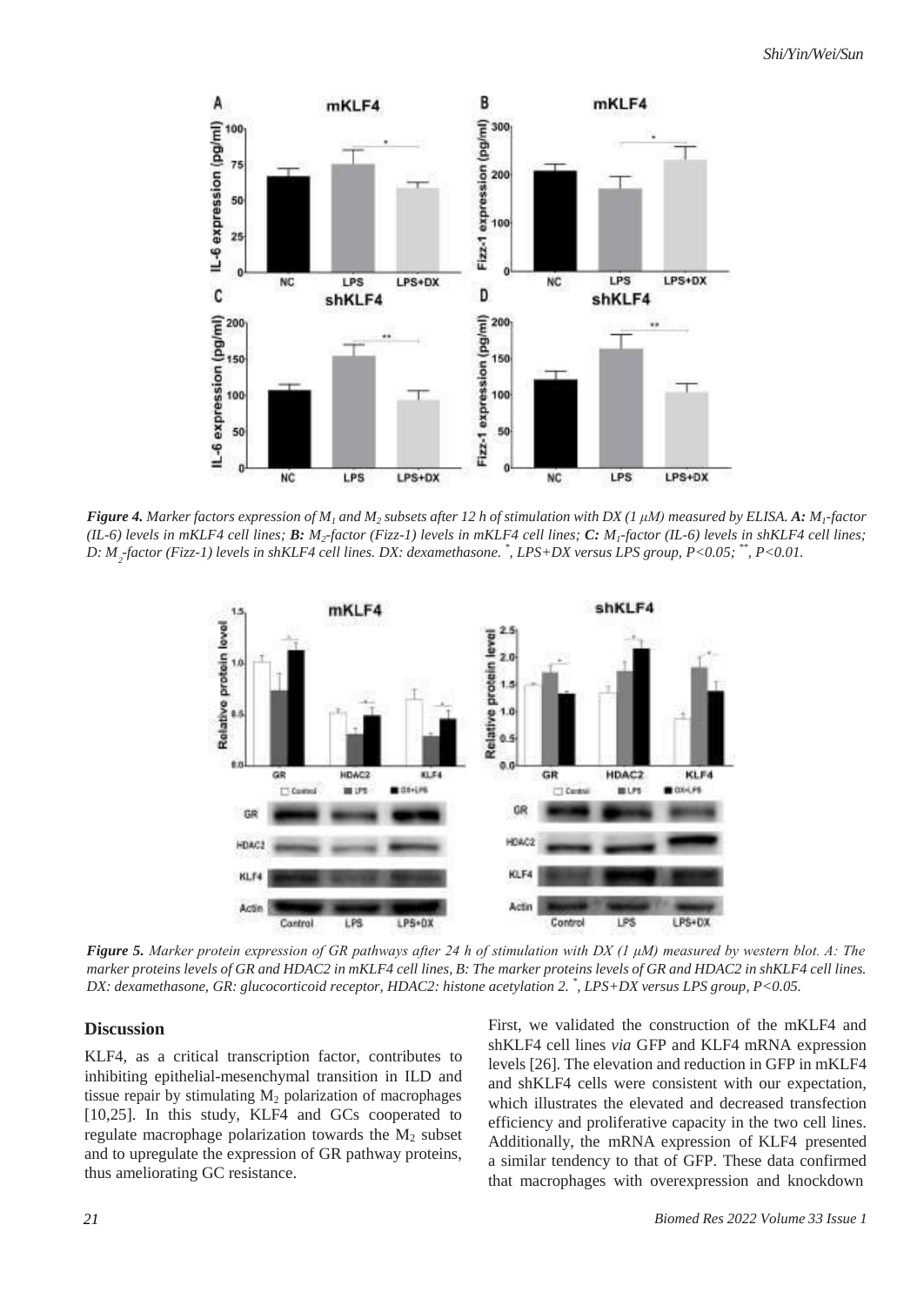

D:  $M_{_2}$ -factor (Fizz-1) levels in shKLF4 cell lines. DX: dexamethasone.  $\degree$ , LPS+DX versus LPS group, P<0.05;  $\degree^*$ , P<0.01. Figure 4. Marker factors expression of  $M_1$  and  $M_2$  subsets after 12 h of stimulation with DX (1 µM) measured by ELISA. A: M<sub>1</sub>-factor (IL-6) levels in mKLF4 cell lines;  $B: M_2$ -factor (Fizz-1) levels in mKLF4 cell lines;  $C: M_1$ -factor (IL-6) levels in shKLF4 cell lines;



*Figure 5. Marker protein expression of GR pathways after 24 h of stimulation with DX (1 μM) measured by western blot. A: The* marker proteins levels of GR and HDAC2 in mKLF4 cell lines, B: The marker proteins levels of GR and HDAC2 in shKLF4 cell lines. *DX: dexamethasone, GR: glucocorticoid receptor, HDAC2: histone acetylation 2. \* , LPS+DX versus LPS group, P<0.05.*

#### **Discussion**

KLF4, as a critical transcription factor, contributes to inhibiting epithelial-mesenchymal transition in ILD and tissue repair by stimulating  $M<sub>2</sub>$  polarization of macrophages [10,25]. In this study, KLF4 and GCs cooperated to regulate macrophage polarization towards the  $M<sub>2</sub>$  subset and to upregulate the expression of GR pathway proteins, thus ameliorating GC resistance.

First, we validated the construction of the mKLF4 and shKLF4 cell lines *via* GFP and KLF4 mRNA expression levels [26]. The elevation and reduction in GFP in mKLF4 and shKLF4 cells were consistent with our expectation, which illustrates the elevated and decreased transfection efficiency and proliferative capacity in the two cell lines. Additionally, the mRNA expression of KLF4 presented a similar tendency to that of GFP. These data confirmed that macrophages with overexpression and knockdown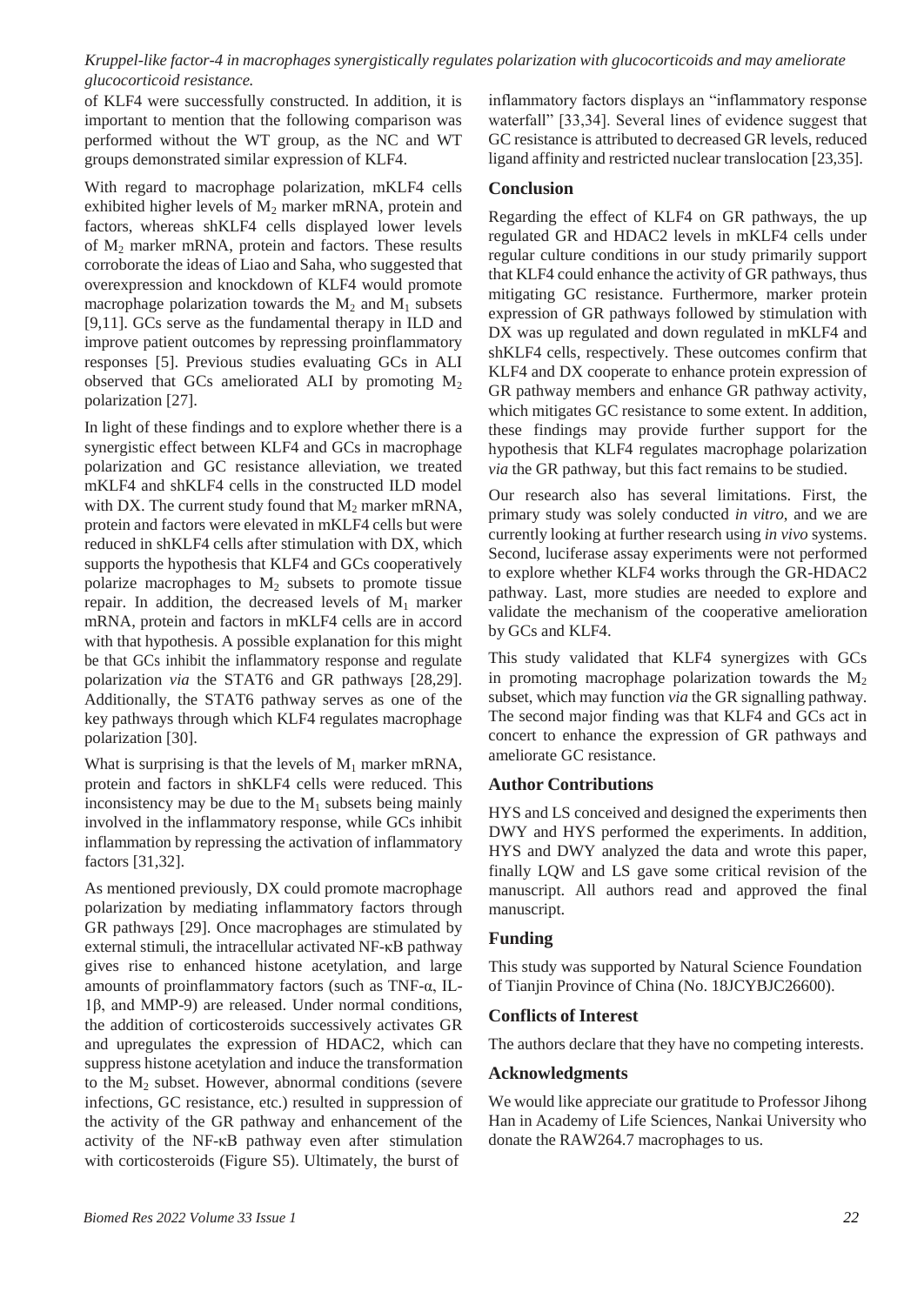of KLF4 were successfully constructed. In addition, it is important to mention that the following comparison was performed without the WT group, as the NC and WT groups demonstrated similar expression of KLF4.

With regard to macrophage polarization, mKLF4 cells exhibited higher levels of  $M_2$  marker mRNA, protein and factors, whereas shKLF4 cells displayed lower levels of  $M_2$  marker mRNA, protein and factors. These results corroborate the ideas of Liao and Saha, who suggested that overexpression and knockdown of KLF4 would promote macrophage polarization towards the  $M_2$  and  $M_1$  subsets [9,11]. GCs serve as the fundamental therapy in ILD and improve patient outcomes by repressing proinflammatory responses [5]. Previous studies evaluating GCs in ALI observed that GCs ameliorated ALI by promoting  $M_2$ polarization [27].

In light of these findings and to explore whether there is a synergistic effect between KLF4 and GCs in macrophage polarization and GC resistance alleviation, we treated mKLF4 and shKLF4 cells in the constructed ILD model with DX. The current study found that  $M_2$  marker mRNA, protein and factors were elevated in mKLF4 cells but were reduced in shKLF4 cells after stimulation with DX, which supports the hypothesis that KLF4 and GCs cooperatively polarize macrophages to  $M_2$  subsets to promote tissue repair. In addition, the decreased levels of  $M_1$  marker mRNA, protein and factors in mKLF4 cells are in accord with that hypothesis. A possible explanation for this might be that GCs inhibit the inflammatory response and regulate polarization *via* the STAT6 and GR pathways [28,29]. Additionally, the STAT6 pathway serves as one of the key pathways through which KLF4 regulates macrophage polarization [30].

What is surprising is that the levels of  $M_1$  marker mRNA, protein and factors in shKLF4 cells were reduced. This inconsistency may be due to the  $M_1$  subsets being mainly involved in the inflammatory response, while GCs inhibit inflammation by repressing the activation of inflammatory factors [31,32].

As mentioned previously, DX could promote macrophage polarization by mediating inflammatory factors through GR pathways [29]. Once macrophages are stimulated by external stimuli, the intracellular activated NF-κB pathway gives rise to enhanced histone acetylation, and large amounts of proinflammatory factors (such as TNF-α, IL-1β, and MMP-9) are released. Under normal conditions, the addition of corticosteroids successively activates GR and upregulates the expression of HDAC2, which can suppress histone acetylation and induce the transformation to the  $M<sub>2</sub>$  subset. However, abnormal conditions (severe infections, GC resistance, etc.) resulted in suppression of the activity of the GR pathway and enhancement of the activity of the NF-κB pathway even after stimulation with corticosteroids (Figure S5). Ultimately, the burst of

inflammatory factors displays an "inflammatory response waterfall" [33,34]. Several lines of evidence suggest that GC resistance is attributed to decreased GR levels, reduced ligand affinity and restricted nuclear translocation [23,35].

#### **Conclusion**

Regarding the effect of KLF4 on GR pathways, the up regulated GR and HDAC2 levels in mKLF4 cells under regular culture conditions in our study primarily support that KLF4 could enhance the activity of GR pathways, thus mitigating GC resistance. Furthermore, marker protein expression of GR pathways followed by stimulation with DX was up regulated and down regulated in mKLF4 and shKLF4 cells, respectively. These outcomes confirm that KLF4 and DX cooperate to enhance protein expression of GR pathway members and enhance GR pathway activity, which mitigates GC resistance to some extent. In addition, these findings may provide further support for the hypothesis that KLF4 regulates macrophage polarization *via* the GR pathway, but this fact remains to be studied.

Our research also has several limitations. First, the primary study was solely conducted *in vitro*, and we are currently looking at further research using *in vivo* systems. Second, luciferase assay experiments were not performed to explore whether KLF4 works through the GR-HDAC2 pathway. Last, more studies are needed to explore and validate the mechanism of the cooperative amelioration by GCs and KLF4.

This study validated that KLF4 synergizes with GCs in promoting macrophage polarization towards the  $M<sub>2</sub>$ subset, which may function *via* the GR signalling pathway. The second major finding was that KLF4 and GCs act in concert to enhance the expression of GR pathways and ameliorate GC resistance.

#### **Author Contributions**

HYS and LS conceived and designed the experiments then DWY and HYS performed the experiments. In addition, HYS and DWY analyzed the data and wrote this paper, finally LQW and LS gave some critical revision of the manuscript. All authors read and approved the final manuscript.

#### **Funding**

This study was supported by Natural Science Foundation of Tianjin Province of China (No. 18JCYBJC26600).

#### **Conflicts of Interest**

The authors declare that they have no competing interests.

#### **Acknowledgments**

We would like appreciate our gratitude to Professor Jihong Han in Academy of Life Sciences, Nankai University who donate the RAW264.7 macrophages to us.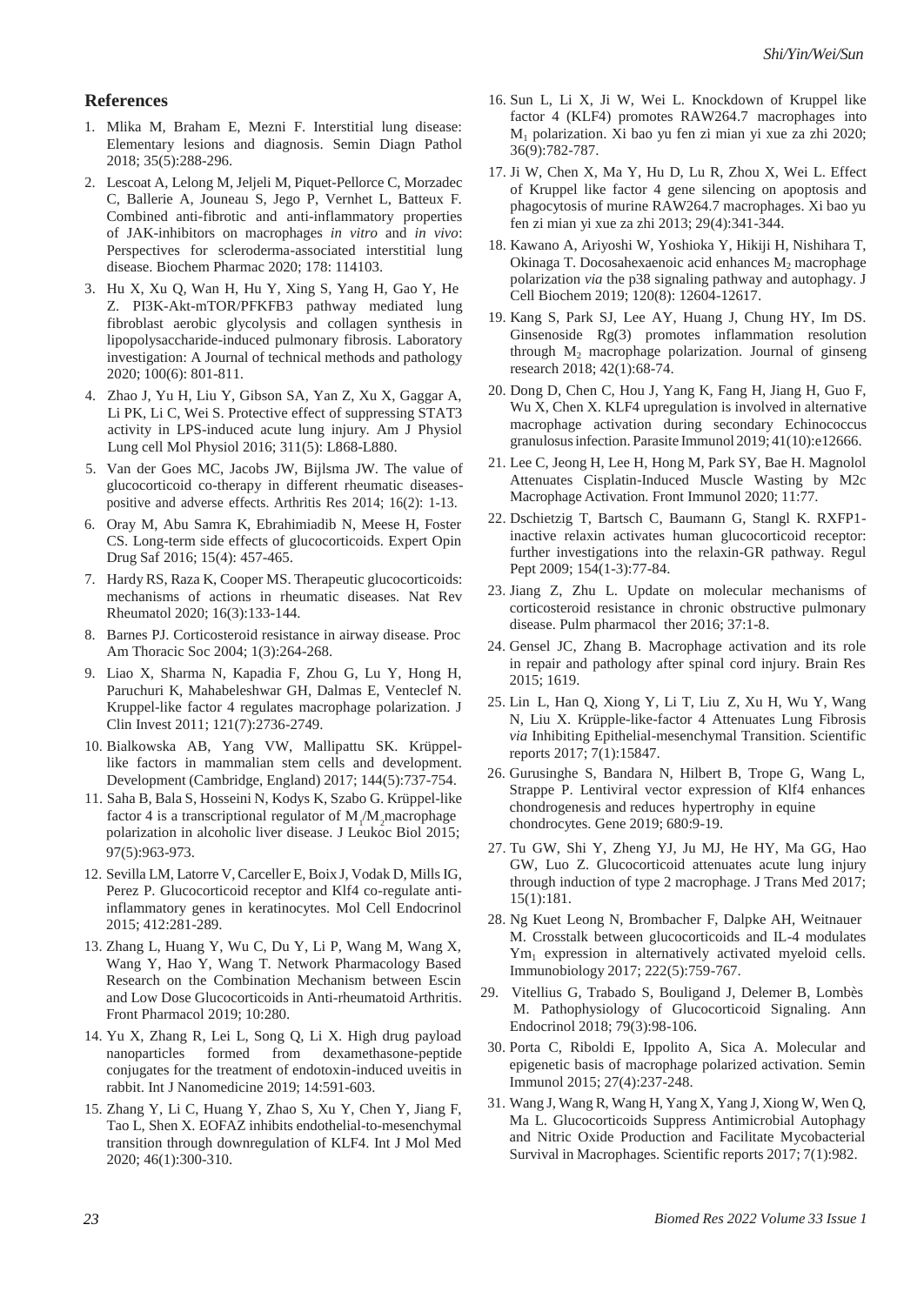#### **References**

- 1. Mlika M, Braham E, Mezni F. Interstitial lung disease: Elementary lesions and diagnosis. Semin Diagn Pathol 2018; 35(5):288-296.
- 2. Lescoat A, Lelong M, Jeljeli M, Piquet-Pellorce C, Morzadec C, Ballerie A, Jouneau S, Jego P, Vernhet L, Batteux F. Combined anti-fibrotic and anti-inflammatory properties of JAK-inhibitors on macrophages *in vitro* and *in vivo*: Perspectives for scleroderma-associated interstitial lung disease. Biochem Pharmac 2020; 178: 114103.
- 3. Hu X, Xu Q, Wan H, Hu Y, Xing S, Yang H, Gao Y, He Z. PI3K-Akt-mTOR/PFKFB3 pathway mediated lung fibroblast aerobic glycolysis and collagen synthesis in lipopolysaccharide-induced pulmonary fibrosis. Laboratory investigation: A Journal of technical methods and pathology 2020; 100(6): 801-811.
- 4. Zhao J, Yu H, Liu Y, Gibson SA, Yan Z, Xu X, Gaggar A, Li PK, Li C, Wei S. Protective effect of suppressing STAT3 activity in LPS-induced acute lung injury. Am J Physiol Lung cell Mol Physiol 2016; 311(5): L868-L880.
- 5. Van der Goes MC, Jacobs JW, Bijlsma JW. The value of glucocorticoid co-therapy in different rheumatic diseasespositive and adverse effects. Arthritis Res 2014; 16(2): 1-13.
- 6. Oray M, Abu Samra K, Ebrahimiadib N, Meese H, Foster CS. Long-term side effects of glucocorticoids. Expert Opin Drug Saf 2016; 15(4): 457-465.
- 7. Hardy RS, Raza K, Cooper MS. Therapeutic glucocorticoids: mechanisms of actions in rheumatic diseases. Nat Rev Rheumatol 2020; 16(3):133-144.
- 8. Barnes PJ. Corticosteroid resistance in airway disease. Proc Am Thoracic Soc 2004; 1(3):264-268.
- 9. Liao X, Sharma N, Kapadia F, Zhou G, Lu Y, Hong H, Paruchuri K, Mahabeleshwar GH, Dalmas E, Venteclef N. Kruppel-like factor 4 regulates macrophage polarization. J Clin Invest 2011; 121(7):2736-2749.
- 10. Bialkowska AB, Yang VW, Mallipattu SK. Krüppellike factors in mammalian stem cells and development. Development (Cambridge, England) 2017; 144(5):737-754.
- 11. Saha B, Bala S, Hosseini N, Kodys K, Szabo G. Krüppel-like factor 4 is a transcriptional regulator of M,/M,macrophage polarization in alcoholic liver disease. J Leukoc Biol 2015; 97(5):963-973.
- 12. Sevilla LM, Latorre V, Carceller E, Boix J, Vodak D, MillsIG, Perez P. Glucocorticoid receptor and Klf4 co-regulate antiinflammatory genes in keratinocytes. Mol Cell Endocrinol 2015; 412:281-289.
- 13. Zhang L, Huang Y, Wu C, Du Y, Li P, Wang M, Wang X, Wang Y, Hao Y, Wang T. Network Pharmacology Based Research on the Combination Mechanism between Escin and Low Dose Glucocorticoids in Anti-rheumatoid Arthritis. Front Pharmacol 2019; 10:280.
- 14. Yu X, Zhang R, Lei L, Song Q, Li X. High drug payload nanoparticles formed from dexamethasone-peptide conjugates for the treatment of endotoxin-induced uveitis in rabbit. Int J Nanomedicine 2019; 14:591-603.
- 15. Zhang Y, Li C, Huang Y, Zhao S, Xu Y, Chen Y, Jiang F, Tao L, Shen X. EOFAZ inhibits endothelial-to-mesenchymal transition through downregulation of KLF4. Int J Mol Med 2020; 46(1):300-310.
- 16. Sun L, Li X, Ji W, Wei L. Knockdown of Kruppel like factor 4 (KLF4) promotes RAW264.7 macrophages into M<sup>1</sup> polarization. Xi bao yu fen zi mian yi xue za zhi 2020; 36(9):782-787.
- 17. Ji W, Chen X, Ma Y, Hu D, Lu R, Zhou X, Wei L. Effect of Kruppel like factor 4 gene silencing on apoptosis and phagocytosis of murine RAW264.7 macrophages. Xi bao yu fen zi mian yi xue za zhi 2013; 29(4):341-344.
- 18. Kawano A, Ariyoshi W, Yoshioka Y, Hikiji H, Nishihara T, Okinaga T. Docosahexaenoic acid enhances  $M_2$  macrophage polarization *via* the p38 signaling pathway and autophagy. J Cell Biochem 2019; 120(8): 12604-12617.
- 19. Kang S, Park SJ, Lee AY, Huang J, Chung HY, Im DS. Ginsenoside Rg(3) promotes inflammation resolution through  $M_2$  macrophage polarization. Journal of ginseng research 2018; 42(1):68-74.
- 20. Dong D, Chen C, Hou J, Yang K, Fang H, Jiang H, Guo F, Wu X, Chen X. KLF4 upregulation is involved in alternative macrophage activation during secondary Echinococcus granulosusinfection. Parasite Immunol 2019; 41(10):e12666.
- 21. Lee C, Jeong H, Lee H, Hong M, Park SY, Bae H. Magnolol Attenuates Cisplatin-Induced Muscle Wasting by M2c Macrophage Activation. Front Immunol 2020; 11:77.
- 22. Dschietzig T, Bartsch C, Baumann G, Stangl K. RXFP1 inactive relaxin activates human glucocorticoid receptor: further investigations into the relaxin-GR pathway. Regul Pept 2009; 154(1-3):77-84.
- 23. Jiang Z, Zhu L. Update on molecular mechanisms of corticosteroid resistance in chronic obstructive pulmonary disease. Pulm pharmacol ther 2016; 37:1-8.
- 24. Gensel JC, Zhang B. Macrophage activation and its role in repair and pathology after spinal cord injury. Brain Res 2015; 1619.
- 25. Lin L, Han Q, Xiong Y, Li T, Liu Z, Xu H, Wu Y, Wang N, Liu X. Krüpple-like-factor 4 Attenuates Lung Fibrosis *via* Inhibiting Epithelial-mesenchymal Transition. Scientific reports 2017; 7(1):15847.
- 26. Gurusinghe S, Bandara N, Hilbert B, Trope G, Wang L, Strappe P. Lentiviral vector expression of Klf4 enhances chondrogenesis and reduces hypertrophy in equine chondrocytes. Gene 2019; 680:9-19.
- 27. Tu GW, Shi Y, Zheng YJ, Ju MJ, He HY, Ma GG, Hao GW, Luo Z. Glucocorticoid attenuates acute lung injury through induction of type 2 macrophage. J Trans Med 2017; 15(1):181.
- 28. Ng Kuet Leong N, Brombacher F, Dalpke AH, Weitnauer M. Crosstalk between glucocorticoids and IL-4 modulates Ym<sub>1</sub> expression in alternatively activated myeloid cells. Immunobiology 2017; 222(5):759-767.
- 29. Vitellius G, Trabado S, Bouligand J, Delemer B, Lombès M. Pathophysiology of Glucocorticoid Signaling. Ann Endocrinol 2018; 79(3):98-106.
- 30. Porta C, Riboldi E, Ippolito A, Sica A. Molecular and epigenetic basis of macrophage polarized activation. Semin Immunol 2015; 27(4):237-248.
- 31. Wang J, Wang R, Wang H, Yang X, Yang J, Xiong W, Wen Q, Ma L. Glucocorticoids Suppress Antimicrobial Autophagy and Nitric Oxide Production and Facilitate Mycobacterial Survival in Macrophages. Scientific reports 2017; 7(1):982.